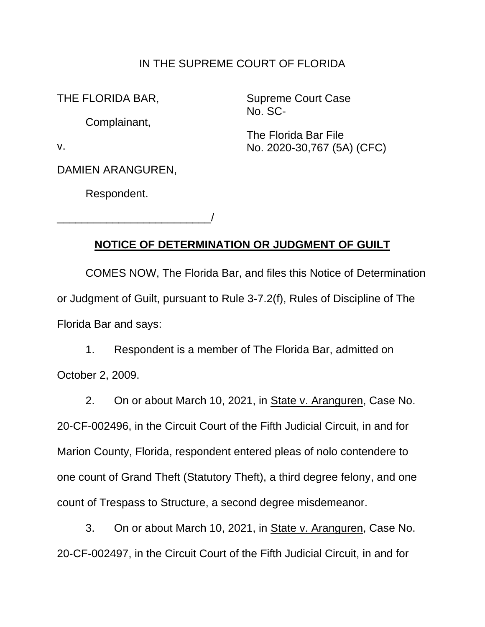### IN THE SUPREME COURT OF FLORIDA

Complainant,

DAMIEN ARANGUREN,

Respondent.

\_\_\_\_\_\_\_\_\_\_\_\_\_\_\_\_\_\_\_\_\_\_\_\_\_/

THE FLORIDA BAR, Supreme Court Case No. SC-

The Florida Bar File v. No. 2020-30,767 (5A) (CFC)

## **NOTICE OF DETERMINATION OR JUDGMENT OF GUILT**

COMES NOW, The Florida Bar, and files this Notice of Determination or Judgment of Guilt, pursuant to Rule 3-7.2(f), Rules of Discipline of The Florida Bar and says:

1. Respondent is a member of The Florida Bar, admitted on October 2, 2009.

2. On or about March 10, 2021, in State v. Aranguren, Case No. 20-CF-002496, in the Circuit Court of the Fifth Judicial Circuit, in and for Marion County, Florida, respondent entered pleas of nolo contendere to one count of Grand Theft (Statutory Theft), a third degree felony, and one count of Trespass to Structure, a second degree misdemeanor.

3. On or about March 10, 2021, in State v. Aranguren, Case No. 20-CF-002497, in the Circuit Court of the Fifth Judicial Circuit, in and for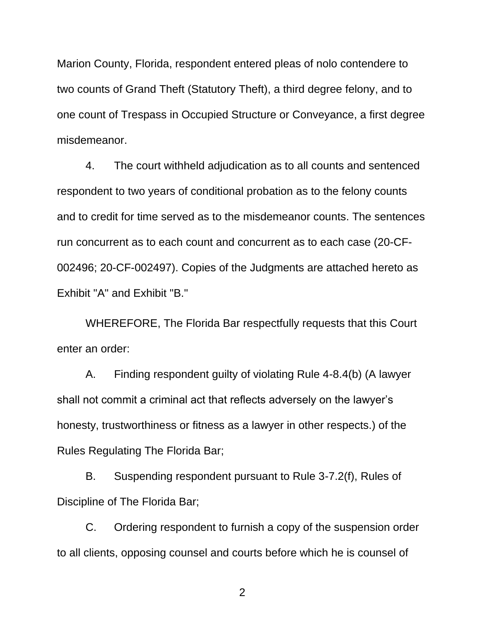Marion County, Florida, respondent entered pleas of nolo contendere to two counts of Grand Theft (Statutory Theft), a third degree felony, and to one count of Trespass in Occupied Structure or Conveyance, a first degree misdemeanor.

4. The court withheld adjudication as to all counts and sentenced respondent to two years of conditional probation as to the felony counts and to credit for time served as to the misdemeanor counts. The sentences run concurrent as to each count and concurrent as to each case (20-CF-002496; 20-CF-002497). Copies of the Judgments are attached hereto as Exhibit "A" and Exhibit "B."

 enter an order: WHEREFORE, The Florida Bar respectfully requests that this Court

 shall not commit a criminal act that reflects adversely on the lawyer's A. Finding respondent guilty of violating Rule 4-8.4(b) (A lawyer honesty, trustworthiness or fitness as a lawyer in other respects.) of the Rules Regulating The Florida Bar;

B. Suspending respondent pursuant to Rule 3-7.2(f), Rules of Discipline of The Florida Bar;

C. Ordering respondent to furnish a copy of the suspension order to all clients, opposing counsel and courts before which he is counsel of

2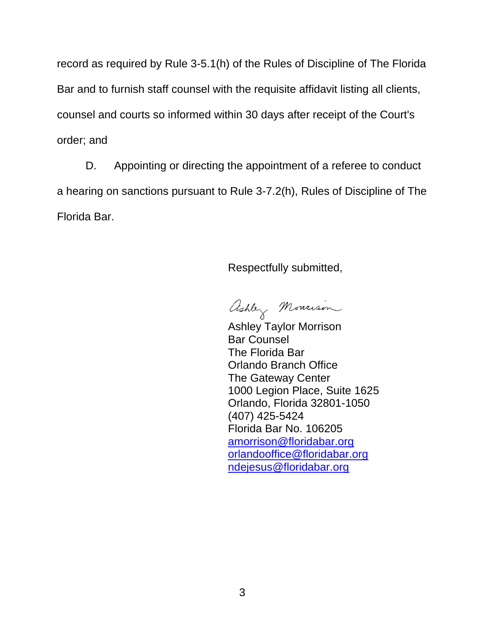Bar and to furnish staff counsel with the requisite affidavit listing all clients, record as required by Rule 3-5.1(h) of the Rules of Discipline of The Florida counsel and courts so informed within 30 days after receipt of the Court's order; and

D. Appointing or directing the appointment of a referee to conduct a hearing on sanctions pursuant to Rule 3-7.2(h), Rules of Discipline of The Florida Bar.

Respectfully submitted,

ashley Monrison

Ashley Taylor Morrison Bar Counsel The Florida Bar Orlando Branch Office The Gateway Center 1000 Legion Place, Suite 1625 Orlando, Florida 32801-1050 (407) 425-5424 Florida Bar No. 106205 amorrison@floridabar.org orlandooffice@floridabar.org ndejesus@floridabar.org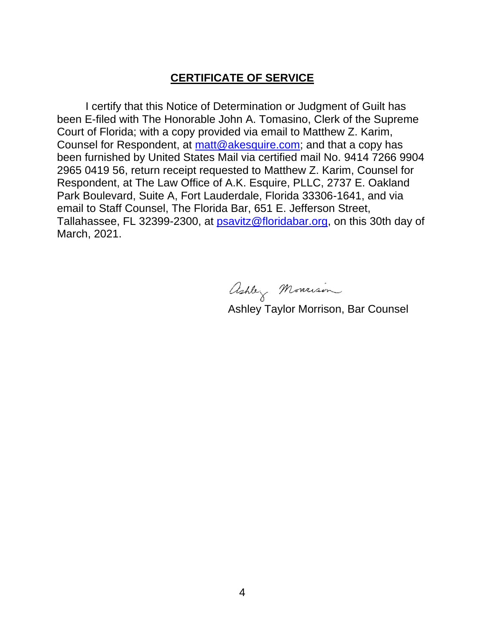### **CERTIFICATE OF SERVICE**

 been furnished by United States Mail via certified mail No. 9414 7266 9904 I certify that this Notice of Determination or Judgment of Guilt has been E-filed with The Honorable John A. Tomasino, Clerk of the Supreme Court of Florida; with a copy provided via email to Matthew Z. Karim, Counsel for Respondent, at matt@akesquire.com; and that a copy has 2965 0419 56, return receipt requested to Matthew Z. Karim, Counsel for Respondent, at The Law Office of A.K. Esquire, PLLC, 2737 E. Oakland Park Boulevard, Suite A, Fort Lauderdale, Florida 33306-1641, and via email to Staff Counsel, The Florida Bar, 651 E. Jefferson Street, Tallahassee, FL 32399-2300, at psavitz@floridabar.org, on this 30th day of March, 2021.

ashley Monrison

Ashley Taylor Morrison, Bar Counsel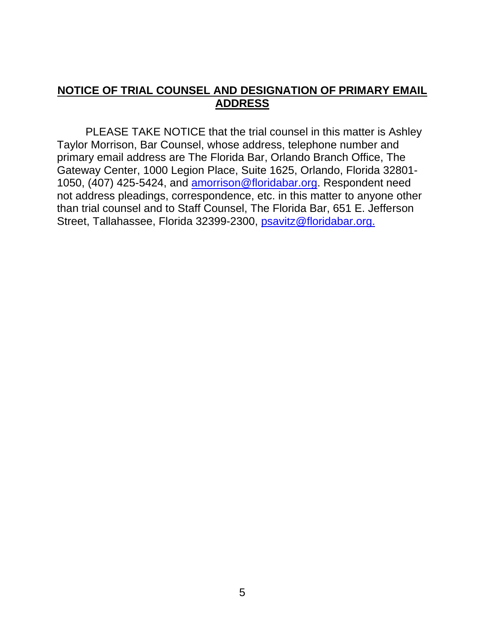## **NOTICE OF TRIAL COUNSEL AND DESIGNATION OF PRIMARY EMAIL ADDRESS**

PLEASE TAKE NOTICE that the trial counsel in this matter is Ashley Taylor Morrison, Bar Counsel, whose address, telephone number and primary email address are The Florida Bar, Orlando Branch Office, The Gateway Center, 1000 Legion Place, Suite 1625, Orlando, Florida 32801- 1050, (407) 425-5424, and amorrison@floridabar.org. Respondent need not address pleadings, correspondence, etc. in this matter to anyone other than trial counsel and to Staff Counsel, The Florida Bar, 651 E. Jefferson Street, Tallahassee, Florida 32399-2300, psavitz@floridabar.org.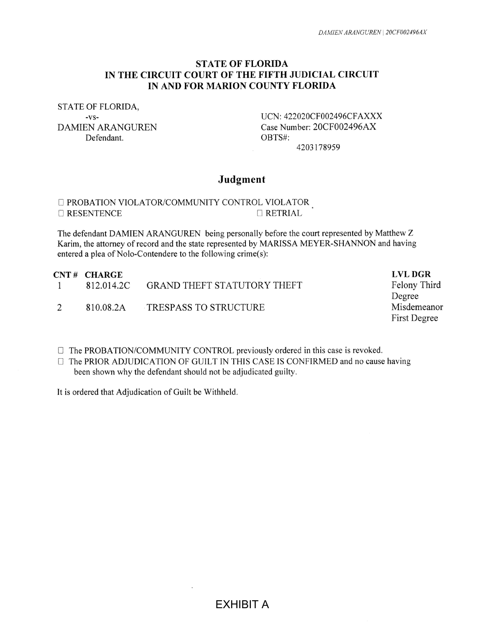#### **ST ATE OF FLORIDA IN THE CIRCUIT COURT OF THE FIFTH JUDICIAL CIRCUIT IN AND FOR MARION COUNTY FLORIDA**

STATE OF FLORIDA, Defendant. OBTS#:

-vs- UCN: 422020CF002496CFAXXX DAMIEN ARANGUREN Case Number: 20CF002496AX 4203178959

#### Judgment

#### **D** PROBATION VIOLATOR/COMMUNITY CONTROL VIOLATOR  $\Box$  RESENTENCE  $\Box$  RETRIAL

The defendant DAMIEN ARANGUREN being personally before the court represented by Matthew Z Karim, the attorney of record and the state represented by MARISSA MEYER-SHANNON and having entered a plea of Nolo-Contendere to the following crime(s):

| $CNT H$ CHARGE |                       | <b>LVL DGR</b>                     |
|----------------|-----------------------|------------------------------------|
| 812.014.2C     |                       | Felony Third                       |
|                |                       | Degree                             |
| 810.08.2A      | TRESPASS TO STRUCTURE | Misdemeanor                        |
|                |                       | First Degree                       |
|                |                       | <b>GRAND THEFT STATUTORY THEFT</b> |

- D The PROBATION/COMMUNITY CONTROL previously ordered in this case is revoked.
- $\Box$  The PRIOR ADJUDICATION OF GUILT IN THIS CASE IS CONFIRMED and no cause having been shown why the defendant should not be adjudicated guilty.

It is ordered that Adjudication of Guilt be Withheld.

EXHIBIT A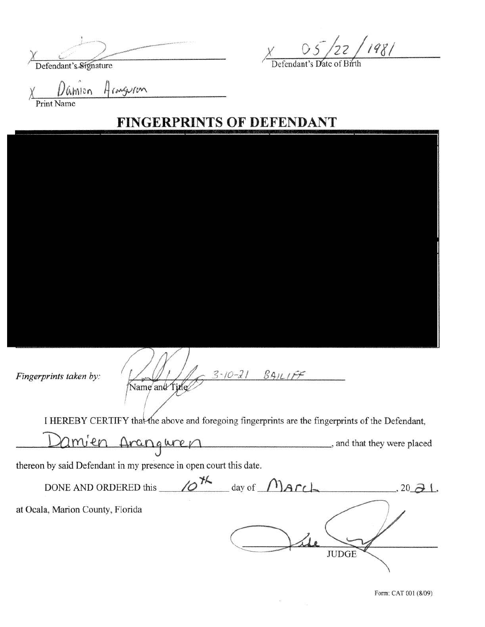Defendant's Signature

 $x = 05/22/1981$ 

endant's Date of Birth

Hemguron Mion **Print Name** 

# **FINGERPRINTS OF DEFENDANT**

 $3 - 10 - 21 8911175$ Fingerprints taken by: Name and Title I HEREBY CERTIFY that the above and foregoing fingerprints are the fingerprints of the Defendant,

 $2m^{\prime}$ en Aranguren ... and that they were placed

thereon by said Defendant in my presence in open court this date.

DONE AND ORDERED this  $\sqrt{0^{14}}$  day of  $M$  and  $\sqrt{0^{14}}$  and  $\sqrt{0^{14}}$  and  $\sqrt{0^{14}}$  and  $\sqrt{0^{14}}$  and  $\sqrt{0^{14}}$  and  $\sqrt{0^{14}}$  and  $\sqrt{0^{14}}$  and  $\sqrt{0^{14}}$  and  $\sqrt{0^{14}}$  and  $\sqrt{0^{14}}$  and  $\sqrt{0^{14}}$  and  $\sqrt{0^{14$ at Ocala, Marion County, Florida **JUDGE** 

Form: CAT 001 (8/09)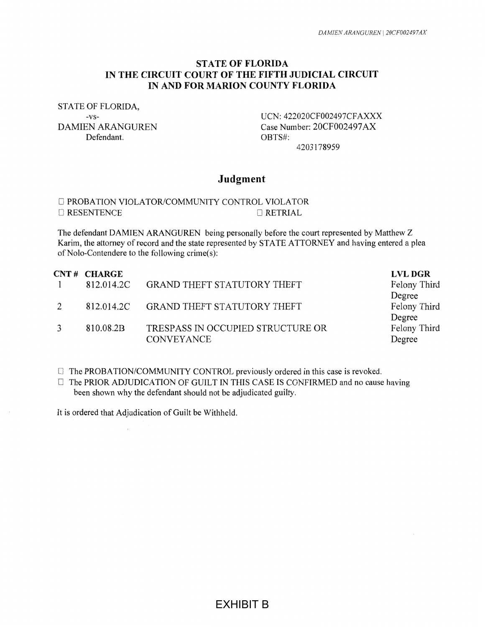#### **STATE OF FLORIDA IN THE CIRCUIT COURT OF THE FIFTH JUDICIAL CIRCUIT IN AND FOR MARION COUNTY FLORIDA**

STATE OF FLORIDA,

Defendant. OBTS#:

-vs- UCN: 422020CF002497CFAXXX DAMIEN ARANGUREN Case Number: 20CF002497AX 4203178959

#### **Judgment**

#### D PROBATION VIOLA TOR/COMMUNITY CONTROL VIOLA TOR 0 RESENTENCE 0 RETRIAL

The defendant DAMIEN ARANGUREN being personally before the court represented by Matthew Z Karim, the attorney of record and the state represented by STATE ATTORNEY and having entered a plea of Nolo-Contendere to the following crime(s):

|               | CNT# CHARGE |                                        | <b>LVL DGR</b> |
|---------------|-------------|----------------------------------------|----------------|
| $\Box$        |             | 812.014.2C GRAND THEFT STATUTORY THEFT | Felony Third   |
|               |             |                                        | Degree         |
| 2             |             | 812.014.2C GRAND THEFT STATUTORY THEFT | Felony Third   |
|               |             |                                        | Degree         |
| $\mathcal{R}$ | 810.08.2B   | TRESPASS IN OCCUPIED STRUCTURE OR      | Felony Third   |
|               |             | <b>CONVEYANCE</b>                      | Degree         |
|               |             |                                        |                |

- [] The PROBATION/COMMUNITY CONTROL previously ordered in this case is revoked.
- $\Box$  The PRIOR ADJUDICATION OF GUILT IN THIS CASE IS CONFIRMED and no cause having been shown why the defendant should not be adjudicated guilty.

It is ordered that Adjudication of Guilt be Withheld.